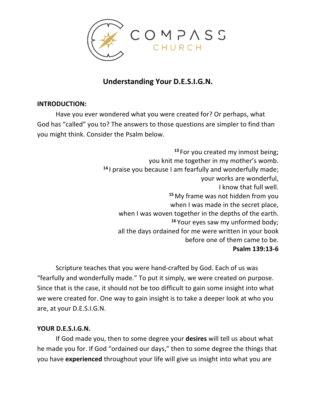

## **Understanding Your D.E.S.I.G.N.**

### **INTRODUCTION:**

Have you ever wondered what you were created for? Or perhaps, what God has "called" you to? The answers to those questions are simpler to find than you might think. Consider the Psalm below.

> **<sup>13</sup>** For you created my inmost being; you knit me together in my mother's womb. **<sup>14</sup>** I praise you because I am fearfully and wonderfully made; your works are wonderful, I know that full well. **<sup>15</sup>**My frame was not hidden from you when I was made in the secret place, when I was woven together in the depths of the earth. **<sup>16</sup>** Your eyes saw my unformed body; all the days ordained for me were written in your book before one of them came to be. **Psalm 139:13-6**

Scripture teaches that you were hand-crafted by God. Each of us was "fearfully and wonderfully made." To put it simply, we were created on purpose. Since that is the case, it should not be too difficult to gain some insight into what we were created for. One way to gain insight is to take a deeper look at who you are, at your D.E.S.I.G.N.

#### **YOUR D.E.S.I.G.N.**

If God made you, then to some degree your **desires** will tell us about what he made you for. If God "ordained our days," then to some degree the things that you have **experienced** throughout your life will give us insight into what you are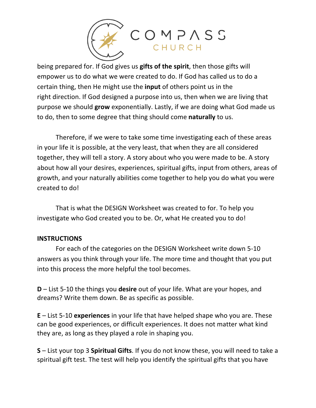

being prepared for. If God gives us **gifts of the spirit**, then those gifts will empower us to do what we were created to do. If God has called us to do a certain thing, then He might use the **input** of others point us in the right direction. If God designed a purpose into us, then when we are living that purpose we should **grow** exponentially. Lastly, if we are doing what God made us to do, then to some degree that thing should come **naturally** to us.

Therefore, if we were to take some time investigating each of these areas in your life it is possible, at the very least, that when they are all considered together, they will tell a story. A story about who you were made to be. A story about how all your desires, experiences, spiritual gifts, input from others, areas of growth, and your naturally abilities come together to help you do what you were created to do!

That is what the DESIGN Worksheet was created to for. To help you investigate who God created you to be. Or, what He created you to do!

#### **INSTRUCTIONS**

For each of the categories on the DESIGN Worksheet write down 5-10 answers as you think through your life. The more time and thought that you put into this process the more helpful the tool becomes.

**D** – List 5-10 the things you **desire** out of your life. What are your hopes, and dreams? Write them down. Be as specific as possible.

**E** – List 5-10 **experiences** in your life that have helped shape who you are. These can be good experiences, or difficult experiences. It does not matter what kind they are, as long as they played a role in shaping you.

**S** – List your top 3 **Spiritual Gifts**. If you do not know these, you will need to take a spiritual gift test. The test will help you identify the spiritual gifts that you have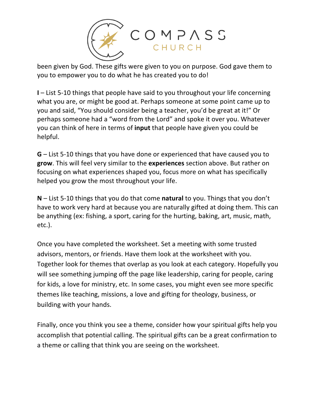

been given by God. These gifts were given to you on purpose. God gave them to you to empower you to do what he has created you to do!

**I** – List 5-10 things that people have said to you throughout your life concerning what you are, or might be good at. Perhaps someone at some point came up to you and said, "You should consider being a teacher, you'd be great at it!" Or perhaps someone had a "word from the Lord" and spoke it over you. Whatever you can think of here in terms of **input** that people have given you could be helpful.

**G** – List 5-10 things that you have done or experienced that have caused you to **grow**. This will feel very similar to the **experiences** section above. But rather on focusing on what experiences shaped you, focus more on what has specifically helped you grow the most throughout your life.

**N** – List 5-10 things that you do that come **natural** to you. Things that you don't have to work very hard at because you are naturally gifted at doing them. This can be anything (ex: fishing, a sport, caring for the hurting, baking, art, music, math, etc.).

Once you have completed the worksheet. Set a meeting with some trusted advisors, mentors, or friends. Have them look at the worksheet with you. Together look for themes that overlap as you look at each category. Hopefully you will see something jumping off the page like leadership, caring for people, caring for kids, a love for ministry, etc. In some cases, you might even see more specific themes like teaching, missions, a love and gifting for theology, business, or building with your hands.

Finally, once you think you see a theme, consider how your spiritual gifts help you accomplish that potential calling. The spiritual gifts can be a great confirmation to a theme or calling that think you are seeing on the worksheet.